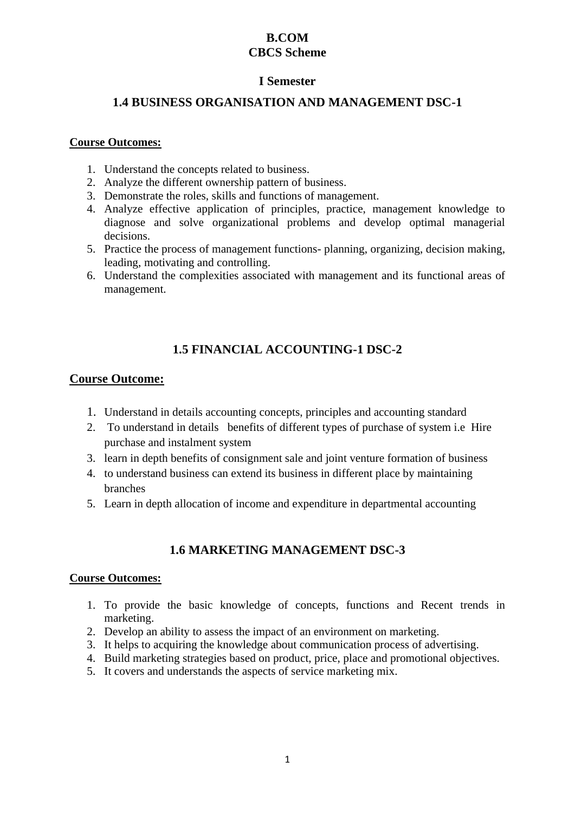# **B.COM CBCS Scheme**

# **I Semester**

# **1.4 BUSINESS ORGANISATION AND MANAGEMENT DSC-1**

### **Course Outcomes:**

- 1. Understand the concepts related to business.
- 2. Analyze the different ownership pattern of business.
- 3. Demonstrate the roles, skills and functions of management.
- 4. Analyze effective application of principles, practice, management knowledge to diagnose and solve organizational problems and develop optimal managerial decisions.
- 5. Practice the process of management functions- planning, organizing, decision making, leading, motivating and controlling.
- 6. Understand the complexities associated with management and its functional areas of management.

# **1.5 FINANCIAL ACCOUNTING-1 DSC-2**

## **Course Outcome:**

- 1. Understand in details accounting concepts, principles and accounting standard
- 2. To understand in details benefits of different types of purchase of system i.e Hire purchase and instalment system
- 3. learn in depth benefits of consignment sale and joint venture formation of business
- 4. to understand business can extend its business in different place by maintaining branches
- 5. Learn in depth allocation of income and expenditure in departmental accounting

# **1.6 MARKETING MANAGEMENT DSC-3**

- 1. To provide the basic knowledge of concepts, functions and Recent trends in marketing.
- 2. Develop an ability to assess the impact of an environment on marketing.
- 3. It helps to acquiring the knowledge about communication process of advertising.
- 4. Build marketing strategies based on product, price, place and promotional objectives.
- 5. It covers and understands the aspects of service marketing mix.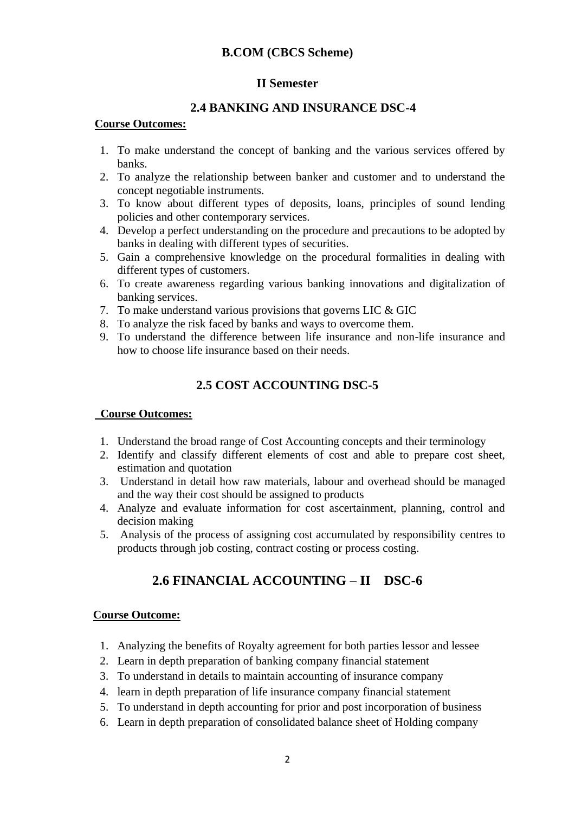## **B.COM (CBCS Scheme)**

## **II Semester**

## **2.4 BANKING AND INSURANCE DSC-4**

#### **Course Outcomes:**

- 1. To make understand the concept of banking and the various services offered by banks.
- 2. To analyze the relationship between banker and customer and to understand the concept negotiable instruments.
- 3. To know about different types of deposits, loans, principles of sound lending policies and other contemporary services.
- 4. Develop a perfect understanding on the procedure and precautions to be adopted by banks in dealing with different types of securities.
- 5. Gain a comprehensive knowledge on the procedural formalities in dealing with different types of customers.
- 6. To create awareness regarding various banking innovations and digitalization of banking services.
- 7. To make understand various provisions that governs LIC & GIC
- 8. To analyze the risk faced by banks and ways to overcome them.
- 9. To understand the difference between life insurance and non-life insurance and how to choose life insurance based on their needs.

# **2.5 COST ACCOUNTING DSC-5**

## **Course Outcomes:**

- 1. Understand the broad range of Cost Accounting concepts and their terminology
- 2. Identify and classify different elements of cost and able to prepare cost sheet, estimation and quotation
- 3. Understand in detail how raw materials, labour and overhead should be managed and the way their cost should be assigned to products
- 4. Analyze and evaluate information for cost ascertainment, planning, control and decision making
- 5. Analysis of the process of assigning cost accumulated by responsibility centres to products through job costing, contract costing or process costing.

# **2.6 FINANCIAL ACCOUNTING – II DSC-6**

- 1. Analyzing the benefits of Royalty agreement for both parties lessor and lessee
- 2. Learn in depth preparation of banking company financial statement
- 3. To understand in details to maintain accounting of insurance company
- 4. learn in depth preparation of life insurance company financial statement
- 5. To understand in depth accounting for prior and post incorporation of business
- 6. Learn in depth preparation of consolidated balance sheet of Holding company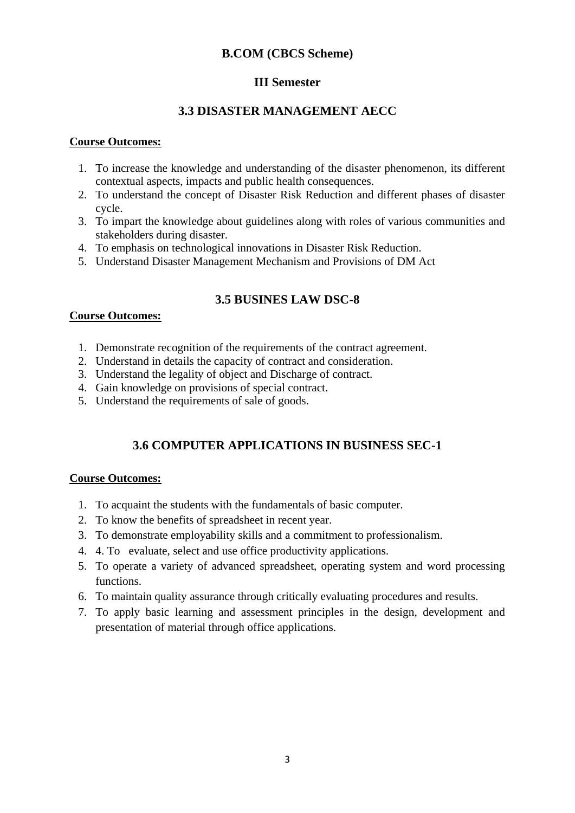## **B.COM (CBCS Scheme)**

# **III Semester**

# **3.3 DISASTER MANAGEMENT AECC**

### **Course Outcomes:**

- 1. To increase the knowledge and understanding of the disaster phenomenon, its different contextual aspects, impacts and public health consequences.
- 2. To understand the concept of Disaster Risk Reduction and different phases of disaster cycle.
- 3. To impart the knowledge about guidelines along with roles of various communities and stakeholders during disaster.
- 4. To emphasis on technological innovations in Disaster Risk Reduction.
- 5. Understand Disaster Management Mechanism and Provisions of DM Act

# **3.5 BUSINES LAW DSC-8**

## **Course Outcomes:**

- 1. Demonstrate recognition of the requirements of the contract agreement.
- 2. Understand in details the capacity of contract and consideration.
- 3. Understand the legality of object and Discharge of contract.
- 4. Gain knowledge on provisions of special contract.
- 5. Understand the requirements of sale of goods.

# **3.6 COMPUTER APPLICATIONS IN BUSINESS SEC-1**

- 1. To acquaint the students with the fundamentals of basic computer.
- 2. To know the benefits of spreadsheet in recent year.
- 3. To demonstrate employability skills and a commitment to professionalism.
- 4. 4. To evaluate, select and use office productivity applications.
- 5. To operate a variety of advanced spreadsheet, operating system and word processing functions.
- 6. To maintain quality assurance through critically evaluating procedures and results.
- 7. To apply basic learning and assessment principles in the design, development and presentation of material through office applications.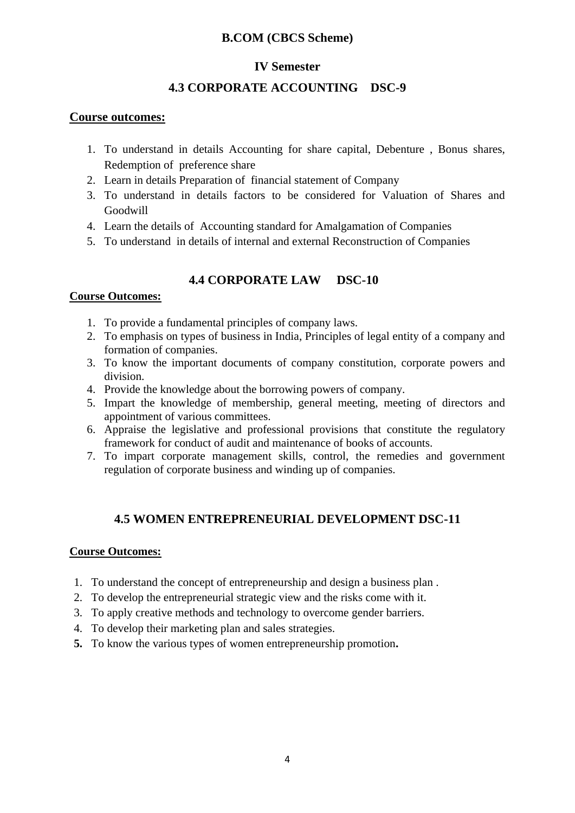# **B.COM (CBCS Scheme)**

# **IV Semester**

# **4.3 CORPORATE ACCOUNTING DSC-9**

## **Course outcomes:**

- 1. To understand in details Accounting for share capital, Debenture , Bonus shares, Redemption of preference share
- 2. Learn in details Preparation of financial statement of Company
- 3. To understand in details factors to be considered for Valuation of Shares and Goodwill
- 4. Learn the details of Accounting standard for Amalgamation of Companies
- 5. To understand in details of internal and external Reconstruction of Companies

# **4.4 CORPORATE LAW DSC-10**

## **Course Outcomes:**

- 1. To provide a fundamental principles of company laws.
- 2. To emphasis on types of business in India, Principles of legal entity of a company and formation of companies.
- 3. To know the important documents of company constitution, corporate powers and division.
- 4. Provide the knowledge about the borrowing powers of company.
- 5. Impart the knowledge of membership, general meeting, meeting of directors and appointment of various committees.
- 6. Appraise the legislative and professional provisions that constitute the regulatory framework for conduct of audit and maintenance of books of accounts.
- 7. To impart corporate management skills, control, the remedies and government regulation of corporate business and winding up of companies.

# **4.5 WOMEN ENTREPRENEURIAL DEVELOPMENT DSC-11**

- 1. To understand the concept of entrepreneurship and design a business plan .
- 2. To develop the entrepreneurial strategic view and the risks come with it.
- 3. To apply creative methods and technology to overcome gender barriers.
- 4. To develop their marketing plan and sales strategies.
- **5.** To know the various types of women entrepreneurship promotion**.**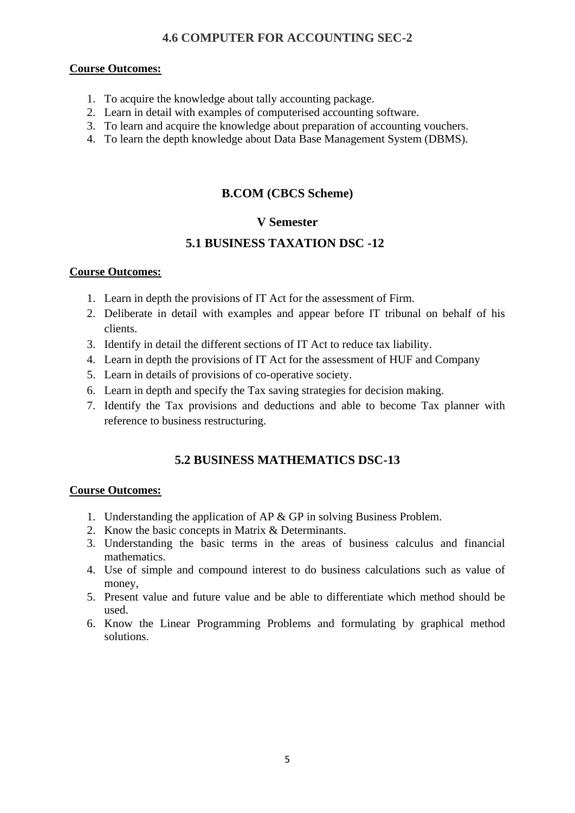# **4.6 COMPUTER FOR ACCOUNTING SEC-2**

### **Course Outcomes:**

- 1. To acquire the knowledge about tally accounting package.
- 2. Learn in detail with examples of computerised accounting software.
- 3. To learn and acquire the knowledge about preparation of accounting vouchers.
- 4. To learn the depth knowledge about Data Base Management System (DBMS).

# **B.COM (CBCS Scheme)**

# **V Semester**

# **5.1 BUSINESS TAXATION DSC -12**

### **Course Outcomes:**

- 1. Learn in depth the provisions of IT Act for the assessment of Firm.
- 2. Deliberate in detail with examples and appear before IT tribunal on behalf of his clients.
- 3. Identify in detail the different sections of IT Act to reduce tax liability.
- 4. Learn in depth the provisions of IT Act for the assessment of HUF and Company
- 5. Learn in details of provisions of co-operative society.
- 6. Learn in depth and specify the Tax saving strategies for decision making.
- 7. Identify the Tax provisions and deductions and able to become Tax planner with reference to business restructuring.

# **5.2 BUSINESS MATHEMATICS DSC-13**

- 1. Understanding the application of AP & GP in solving Business Problem.
- 2. Know the basic concepts in Matrix & Determinants.
- 3. Understanding the basic terms in the areas of business calculus and financial mathematics.
- 4. Use of simple and compound interest to do business calculations such as value of money,
- 5. Present value and future value and be able to differentiate which method should be used.
- 6. Know the Linear Programming Problems and formulating by graphical method solutions.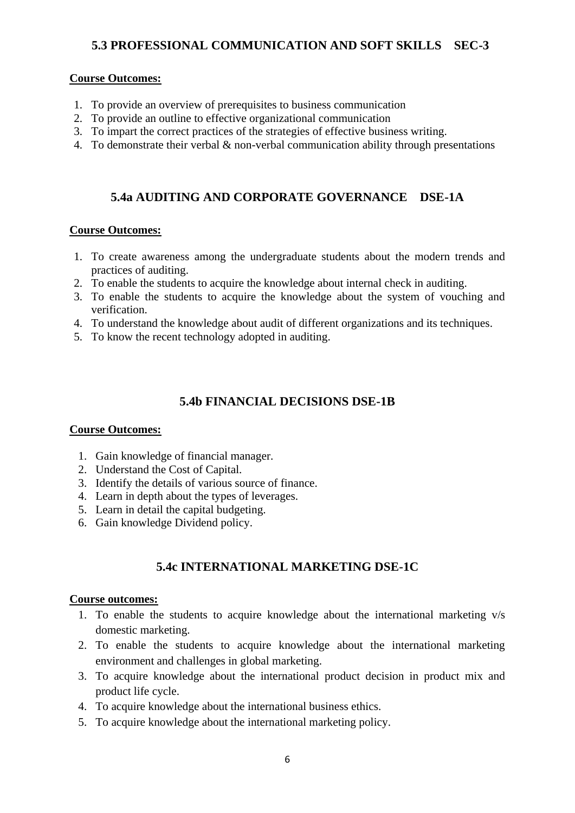# **5.3 PROFESSIONAL COMMUNICATION AND SOFT SKILLS SEC-3**

#### **Course Outcomes:**

- 1. To provide an overview of prerequisites to business communication
- 2. To provide an outline to effective organizational communication
- 3. To impart the correct practices of the strategies of effective business writing.
- 4. To demonstrate their verbal & non-verbal communication ability through presentations

## **5.4a AUDITING AND CORPORATE GOVERNANCE DSE-1A**

#### **Course Outcomes:**

- 1. To create awareness among the undergraduate students about the modern trends and practices of auditing.
- 2. To enable the students to acquire the knowledge about internal check in auditing.
- 3. To enable the students to acquire the knowledge about the system of vouching and verification.
- 4. To understand the knowledge about audit of different organizations and its techniques.
- 5. To know the recent technology adopted in auditing.

### **5.4b FINANCIAL DECISIONS DSE-1B**

#### **Course Outcomes:**

- 1. Gain knowledge of financial manager.
- 2. Understand the Cost of Capital.
- 3. Identify the details of various source of finance.
- 4. Learn in depth about the types of leverages.
- 5. Learn in detail the capital budgeting.
- 6. Gain knowledge Dividend policy.

# **5.4c INTERNATIONAL MARKETING DSE-1C**

- 1. To enable the students to acquire knowledge about the international marketing v/s domestic marketing.
- 2. To enable the students to acquire knowledge about the international marketing environment and challenges in global marketing.
- 3. To acquire knowledge about the international product decision in product mix and product life cycle.
- 4. To acquire knowledge about the international business ethics.
- 5. To acquire knowledge about the international marketing policy.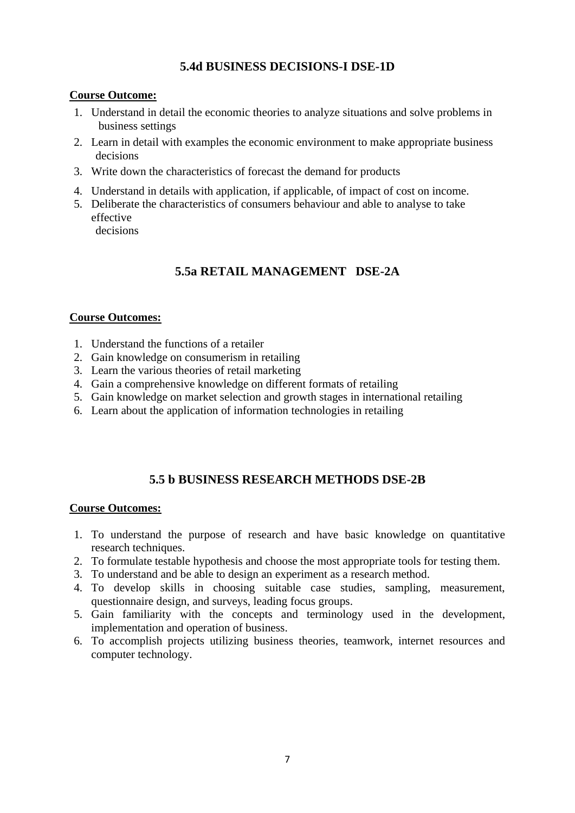## **5.4d BUSINESS DECISIONS-I DSE-1D**

### **Course Outcome:**

- 1. Understand in detail the economic theories to analyze situations and solve problems in business settings
- 2. Learn in detail with examples the economic environment to make appropriate business decisions
- 3. Write down the characteristics of forecast the demand for products
- 4. Understand in details with application, if applicable, of impact of cost on income.
- 5. Deliberate the characteristics of consumers behaviour and able to analyse to take effective decisions

# **5.5a RETAIL MANAGEMENT DSE-2A**

### **Course Outcomes:**

- 1. Understand the functions of a retailer
- 2. Gain knowledge on consumerism in retailing
- 3. Learn the various theories of retail marketing
- 4. Gain a comprehensive knowledge on different formats of retailing
- 5. Gain knowledge on market selection and growth stages in international retailing
- 6. Learn about the application of information technologies in retailing

# **5.5 b BUSINESS RESEARCH METHODS DSE-2B**

- 1. To understand the purpose of research and have basic knowledge on quantitative research techniques.
- 2. To formulate testable hypothesis and choose the most appropriate tools for testing them.
- 3. To understand and be able to design an experiment as a research method.
- 4. To develop skills in choosing suitable case studies, sampling, measurement, questionnaire design, and surveys, leading focus groups.
- 5. Gain familiarity with the concepts and terminology used in the development, implementation and operation of business.
- 6. To accomplish projects utilizing business theories, teamwork, internet resources and computer technology.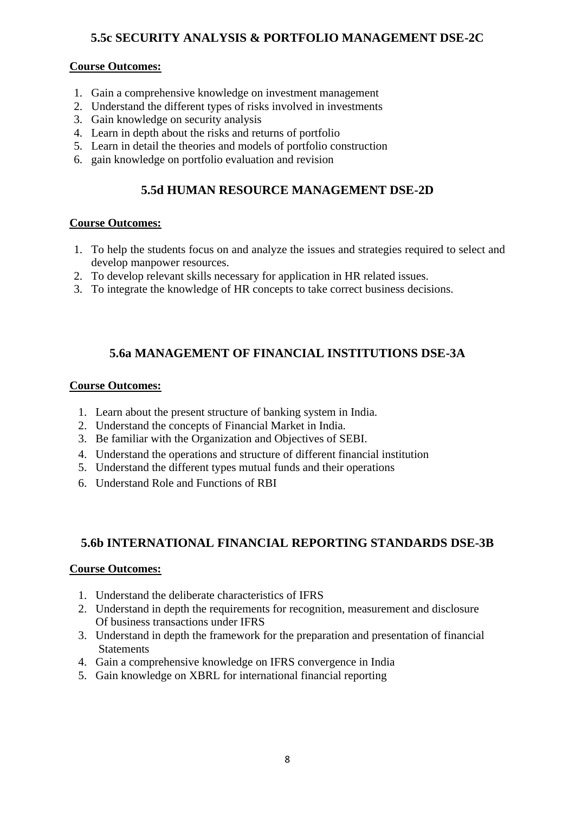# **5.5c SECURITY ANALYSIS & PORTFOLIO MANAGEMENT DSE-2C**

### **Course Outcomes:**

- 1. Gain a comprehensive knowledge on investment management
- 2. Understand the different types of risks involved in investments
- 3. Gain knowledge on security analysis
- 4. Learn in depth about the risks and returns of portfolio
- 5. Learn in detail the theories and models of portfolio construction
- 6. gain knowledge on portfolio evaluation and revision

# **5.5d HUMAN RESOURCE MANAGEMENT DSE-2D**

### **Course Outcomes:**

- 1. To help the students focus on and analyze the issues and strategies required to select and develop manpower resources.
- 2. To develop relevant skills necessary for application in HR related issues.
- 3. To integrate the knowledge of HR concepts to take correct business decisions.

# **5.6a MANAGEMENT OF FINANCIAL INSTITUTIONS DSE-3A**

#### **Course Outcomes:**

- 1. Learn about the present structure of banking system in India.
- 2. Understand the concepts of Financial Market in India.
- 3. Be familiar with the Organization and Objectives of SEBI.
- 4. Understand the operations and structure of different financial institution
- 5. Understand the different types mutual funds and their operations
- 6. Understand Role and Functions of RBI

## **5.6b INTERNATIONAL FINANCIAL REPORTING STANDARDS DSE-3B**

- 1. Understand the deliberate characteristics of IFRS
- 2. Understand in depth the requirements for recognition, measurement and disclosure Of business transactions under IFRS
- 3. Understand in depth the framework for the preparation and presentation of financial **Statements**
- 4. Gain a comprehensive knowledge on IFRS convergence in India
- 5. Gain knowledge on XBRL for international financial reporting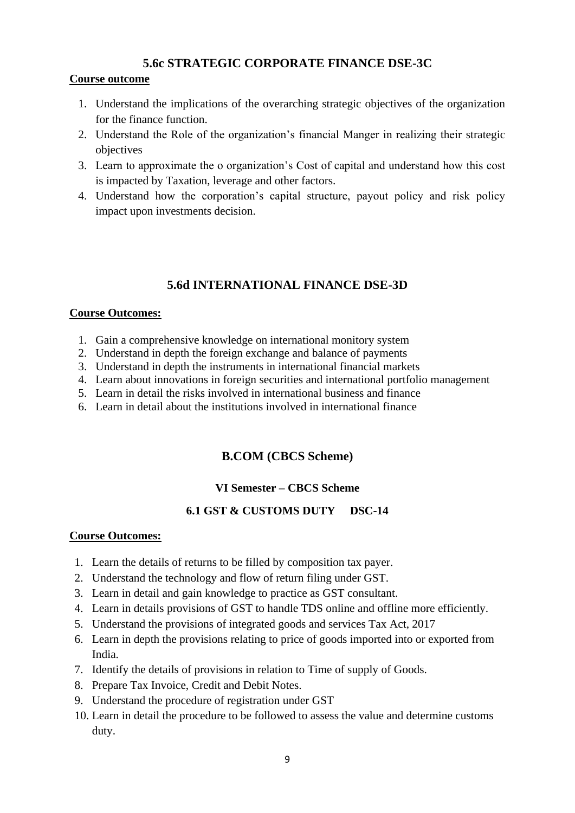# **5.6c STRATEGIC CORPORATE FINANCE DSE-3C**

### **Course outcome**

- 1. Understand the implications of the overarching strategic objectives of the organization for the finance function.
- 2. Understand the Role of the organization's financial Manger in realizing their strategic objectives
- 3. Learn to approximate the o organization's Cost of capital and understand how this cost is impacted by Taxation, leverage and other factors.
- 4. Understand how the corporation's capital structure, payout policy and risk policy impact upon investments decision.

# **5.6d INTERNATIONAL FINANCE DSE-3D**

### **Course Outcomes:**

- 1. Gain a comprehensive knowledge on international monitory system
- 2. Understand in depth the foreign exchange and balance of payments
- 3. Understand in depth the instruments in international financial markets
- 4. Learn about innovations in foreign securities and international portfolio management
- 5. Learn in detail the risks involved in international business and finance
- 6. Learn in detail about the institutions involved in international finance

# **B.COM (CBCS Scheme)**

## **VI Semester – CBCS Scheme**

## **6.1 GST & CUSTOMS DUTY DSC-14**

- 1. Learn the details of returns to be filled by composition tax payer.
- 2. Understand the technology and flow of return filing under GST.
- 3. Learn in detail and gain knowledge to practice as GST consultant.
- 4. Learn in details provisions of GST to handle TDS online and offline more efficiently.
- 5. Understand the provisions of integrated goods and services Tax Act, 2017
- 6. Learn in depth the provisions relating to price of goods imported into or exported from India.
- 7. Identify the details of provisions in relation to Time of supply of Goods.
- 8. Prepare Tax Invoice, Credit and Debit Notes.
- 9. Understand the procedure of registration under GST
- 10. Learn in detail the procedure to be followed to assess the value and determine customs duty.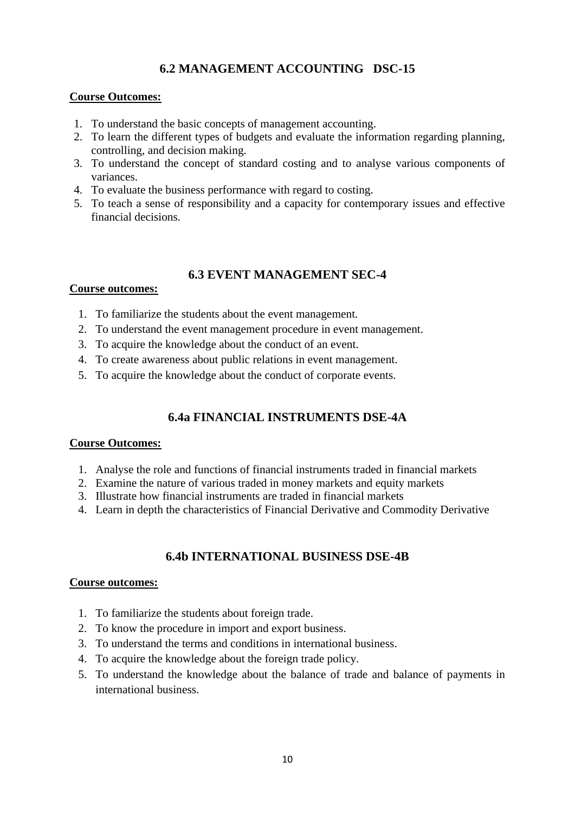# **6.2 MANAGEMENT ACCOUNTING DSC-15**

## **Course Outcomes:**

- 1. To understand the basic concepts of management accounting.
- 2. To learn the different types of budgets and evaluate the information regarding planning, controlling, and decision making.
- 3. To understand the concept of standard costing and to analyse various components of variances.
- 4. To evaluate the business performance with regard to costing.
- 5. To teach a sense of responsibility and a capacity for contemporary issues and effective financial decisions.

# **6.3 EVENT MANAGEMENT SEC-4**

### **Course outcomes:**

- 1. To familiarize the students about the event management.
- 2. To understand the event management procedure in event management.
- 3. To acquire the knowledge about the conduct of an event.
- 4. To create awareness about public relations in event management.
- 5. To acquire the knowledge about the conduct of corporate events.

# **6.4a FINANCIAL INSTRUMENTS DSE-4A**

#### **Course Outcomes:**

- 1. Analyse the role and functions of financial instruments traded in financial markets
- 2. Examine the nature of various traded in money markets and equity markets
- 3. Illustrate how financial instruments are traded in financial markets
- 4. Learn in depth the characteristics of Financial Derivative and Commodity Derivative

# **6.4b INTERNATIONAL BUSINESS DSE-4B**

- 1. To familiarize the students about foreign trade.
- 2. To know the procedure in import and export business.
- 3. To understand the terms and conditions in international business.
- 4. To acquire the knowledge about the foreign trade policy.
- 5. To understand the knowledge about the balance of trade and balance of payments in international business.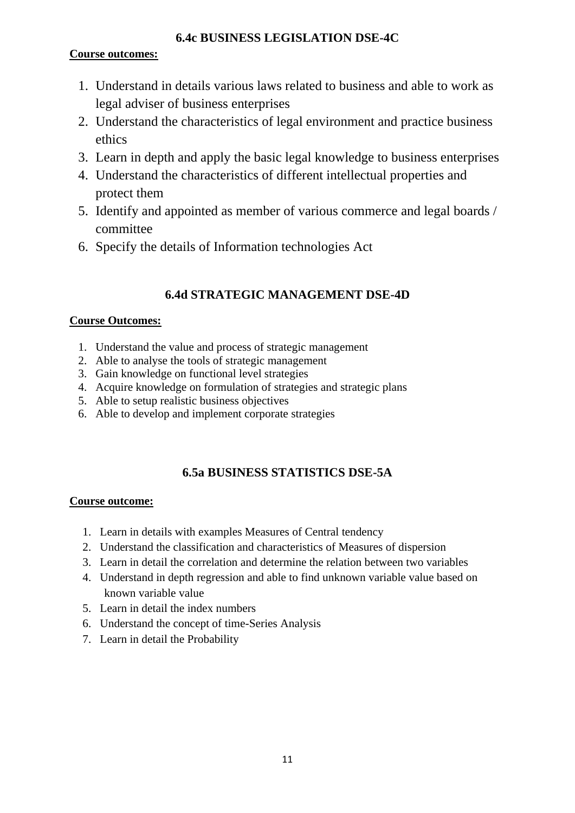# **6.4c BUSINESS LEGISLATION DSE-4C**

# **Course outcomes:**

- 1. Understand in details various laws related to business and able to work as legal adviser of business enterprises
- 2. Understand the characteristics of legal environment and practice business ethics
- 3. Learn in depth and apply the basic legal knowledge to business enterprises
- 4. Understand the characteristics of different intellectual properties and protect them
- 5. Identify and appointed as member of various commerce and legal boards / committee
- 6. Specify the details of Information technologies Act

# **6.4d STRATEGIC MANAGEMENT DSE-4D**

# **Course Outcomes:**

- 1. Understand the value and process of strategic management
- 2. Able to analyse the tools of strategic management
- 3. Gain knowledge on functional level strategies
- 4. Acquire knowledge on formulation of strategies and strategic plans
- 5. Able to setup realistic business objectives
- 6. Able to develop and implement corporate strategies

# **6.5a BUSINESS STATISTICS DSE-5A**

- 1. Learn in details with examples Measures of Central tendency
- 2. Understand the classification and characteristics of Measures of dispersion
- 3. Learn in detail the correlation and determine the relation between two variables
- 4. Understand in depth regression and able to find unknown variable value based on known variable value
- 5. Learn in detail the index numbers
- 6. Understand the concept of time-Series Analysis
- 7. Learn in detail the Probability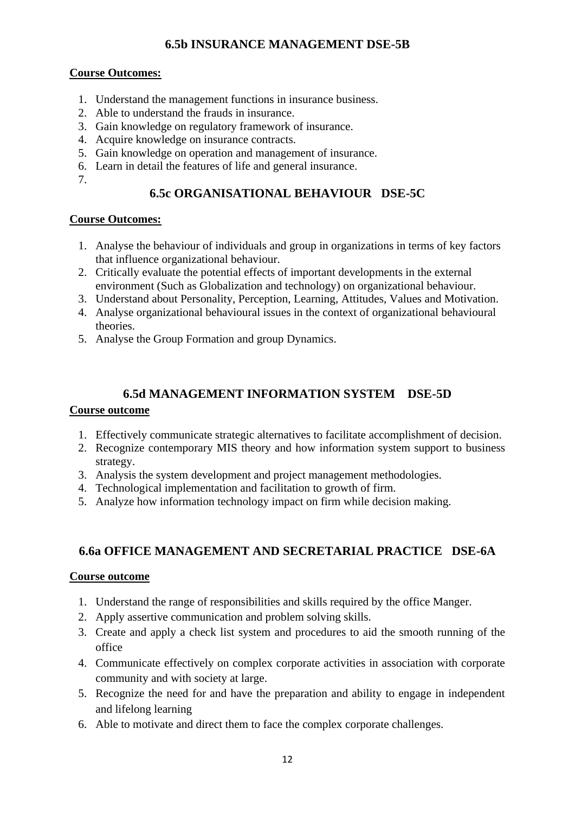# **6.5b INSURANCE MANAGEMENT DSE-5B**

## **Course Outcomes:**

- 1. Understand the management functions in insurance business.
- 2. Able to understand the frauds in insurance.
- 3. Gain knowledge on regulatory framework of insurance.
- 4. Acquire knowledge on insurance contracts.
- 5. Gain knowledge on operation and management of insurance.
- 6. Learn in detail the features of life and general insurance.
- 7.

# **6.5c ORGANISATIONAL BEHAVIOUR DSE-5C**

## **Course Outcomes:**

- 1. Analyse the behaviour of individuals and group in organizations in terms of key factors that influence organizational behaviour.
- 2. Critically evaluate the potential effects of important developments in the external environment (Such as Globalization and technology) on organizational behaviour.
- 3. Understand about Personality, Perception, Learning, Attitudes, Values and Motivation.
- 4. Analyse organizational behavioural issues in the context of organizational behavioural theories.
- 5. Analyse the Group Formation and group Dynamics.

# **6.5d MANAGEMENT INFORMATION SYSTEM DSE-5D**

## **Course outcome**

- 1. Effectively communicate strategic alternatives to facilitate accomplishment of decision.
- 2. Recognize contemporary MIS theory and how information system support to business strategy.
- 3. Analysis the system development and project management methodologies.
- 4. Technological implementation and facilitation to growth of firm.
- 5. Analyze how information technology impact on firm while decision making.

# **6.6a OFFICE MANAGEMENT AND SECRETARIAL PRACTICE DSE-6A**

## **Course outcome**

- 1. Understand the range of responsibilities and skills required by the office Manger.
- 2. Apply assertive communication and problem solving skills.
- 3. Create and apply a check list system and procedures to aid the smooth running of the office
- 4. Communicate effectively on complex corporate activities in association with corporate community and with society at large.
- 5. Recognize the need for and have the preparation and ability to engage in independent and lifelong learning
- 6. Able to motivate and direct them to face the complex corporate challenges.